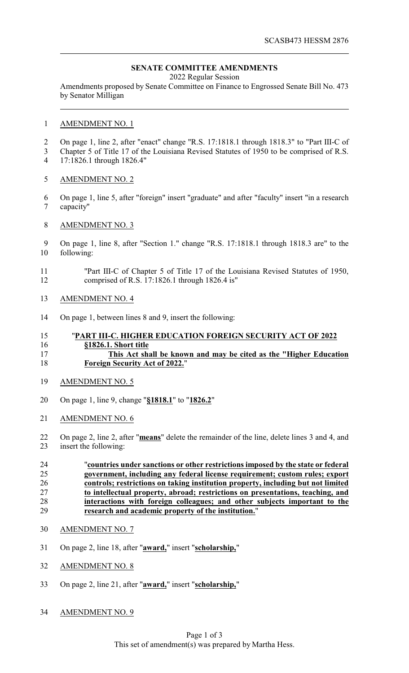# **SENATE COMMITTEE AMENDMENTS**

2022 Regular Session

Amendments proposed by Senate Committee on Finance to Engrossed Senate Bill No. 473 by Senator Milligan

### AMENDMENT NO. 1

- On page 1, line 2, after "enact" change "R.S. 17:1818.1 through 1818.3" to "Part III-C of
- Chapter 5 of Title 17 of the Louisiana Revised Statutes of 1950 to be comprised of R.S. 17:1826.1 through 1826.4"
- AMENDMENT NO. 2
- On page 1, line 5, after "foreign" insert "graduate" and after "faculty" insert "in a research capacity"
- AMENDMENT NO. 3
- On page 1, line 8, after "Section 1." change "R.S. 17:1818.1 through 1818.3 are" to the following:
- "Part III-C of Chapter 5 of Title 17 of the Louisiana Revised Statutes of 1950, comprised of R.S. 17:1826.1 through 1826.4 is"
- AMENDMENT NO. 4
- On page 1, between lines 8 and 9, insert the following:

### "**PART III-C. HIGHER EDUCATION FOREIGN SECURITY ACT OF 2022 §1826.1. Short title**

## **This Act shall be known and may be cited as the "Higher Education Foreign Security Act of 2022.**"

- AMENDMENT NO. 5
- On page 1, line 9, change "**§1818.1**" to "**1826.2**"
- AMENDMENT NO. 6
- On page 2, line 2, after "**means**" delete the remainder of the line, delete lines 3 and 4, and insert the following:
- "**countries under sanctions or other restrictions imposed by the state or federal government, including any federal license requirement; custom rules; export controls; restrictions on taking institution property, including but not limited to intellectual property, abroad; restrictions on presentations, teaching, and** 28 **interactions with foreign colleagues; and other subjects important to the**<br>29 **interact and academic property of the institution.**" **research and academic property of the institution.**"
- AMENDMENT NO. 7
- On page 2, line 18, after "**award,**" insert "**scholarship,**"
- AMENDMENT NO. 8
- On page 2, line 21, after "**award,**" insert "**scholarship,**"
- AMENDMENT NO. 9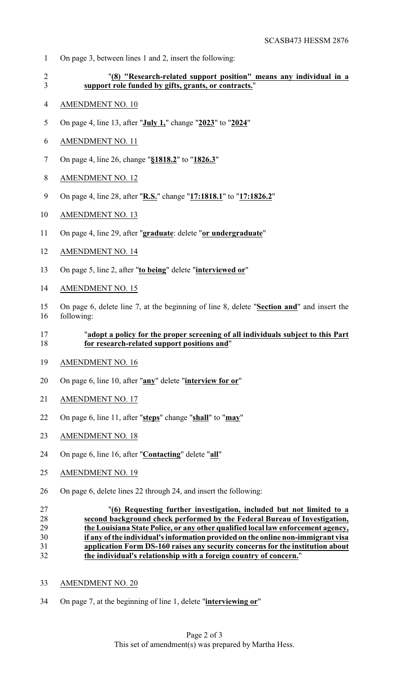- On page 3, between lines 1 and 2, insert the following:
- 

 "**(8) "Research-related support position" means any individual in a support role funded by gifts, grants, or contracts.**"

- AMENDMENT NO. 10
- On page 4, line 13, after "**July 1,**" change "**2023**" to "**2024**"
- AMENDMENT NO. 11
- On page 4, line 26, change "**§1818.2**" to "**1826.3**"
- AMENDMENT NO. 12
- On page 4, line 28, after "**R.S.**" change "**17:1818.1**" to "**17:1826.2**"
- AMENDMENT NO. 13
- On page 4, line 29, after "**graduate**: delete "**or undergraduate**"
- AMENDMENT NO. 14
- On page 5, line 2, after "**to being**" delete "**interviewed or**"
- AMENDMENT NO. 15
- On page 6, delete line 7, at the beginning of line 8, delete "**Section and**" and insert the following:

# "**adopt a policy for the proper screening of all individuals subject to this Part for research-related support positions and**"

- AMENDMENT NO. 16
- On page 6, line 10, after "**any**" delete "**interview for or**"
- AMENDMENT NO. 17
- On page 6, line 11, after "**steps**" change "**shall**" to "**may**"
- AMENDMENT NO. 18
- On page 6, line 16, after "**Contacting**" delete "**all**"
- AMENDMENT NO. 19
- On page 6, delete lines 22 through 24, and insert the following:
- "**(6) Requesting further investigation, included but not limited to a second background check performed by the Federal Bureau of Investigation, the Louisiana State Police, or any other qualified local law enforcement agency, if any ofthe individual's information provided on the online non-immigrant visa application Form DS-160 raises any security concerns for the institution about the individual's relationship with a foreign country of concern.**"
- AMENDMENT NO. 20
- On page 7, at the beginning of line 1, delete "**interviewing or**"